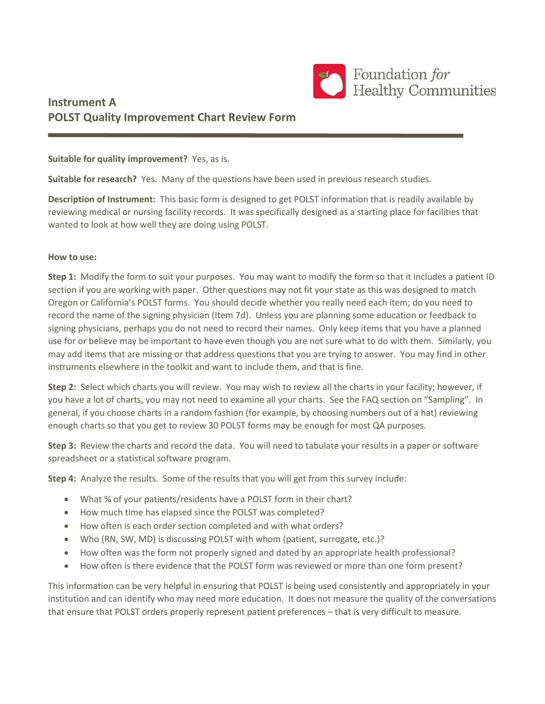

# **Instrument A POLST Quality Improvement Chart Review Form**

**Suitable for quality improvement?** Yes, as is.

**Suitable for research?** Yes. Many of the questions have been used in previous research studies.

**Description of Instrument:** This basic form is designed to get POLST information that is readily available by reviewing medical or nursing facility records. It was specifically designed as a starting place for facilities that wanted to look at how well they are doing using POLST.

#### **How to use:**

**Step 1:** Modify the form to suit your purposes. You may want to modify the form so that it includes a patient ID section if you are working with paper. Other questions may not fit your state as this was designed to match Oregon or California's POLST forms. You should decide whether you really need each item; do you need to record the name of the signing physician (Item 7d). Unless you are planning some education or feedback to signing physicians, perhaps you do not need to record their names. Only keep items that you have a planned use for or believe may be important to have even though you are not sure what to do with them. Similarly, you may add items that are missing or that address questions that you are trying to answer. You may find in other instruments elsewhere in the toolkit and want to include them, and that is fine.

**Step 2:** Select which charts you will review. You may wish to review all the charts in your facility; however, if you have a lot of charts, you may not need to examine all your charts. See the FAQ section on "Sampling". In general, if you choose charts in a random fashion (for example, by choosing numbers out of a hat) reviewing enough charts so that you get to review 30 POLST forms may be enough for most QA purposes.

**Step 3:** Review the charts and record the data. You will need to tabulate your results in a paper or software spreadsheet or a statistical software program.

**Step 4:** Analyze the results. Some of the results that you will get from this survey include:

- What % of your patients/residents have a POLST form in their chart?
- How much time has elapsed since the POLST was completed?
- How often is each order section completed and with what orders?
- Who (RN, SW, MD) is discussing POLST with whom (patient, surrogate, etc.)?
- How often was the form not properly signed and dated by an appropriate health professional?
- How often is there evidence that the POLST form was reviewed or more than one form present?

This information can be very helpful in ensuring that POLST is being used consistently and appropriately in your institution and can identify who may need more education. It does not measure the quality of the conversations that ensure that POLST orders properly represent patient preferences – that is very difficult to measure.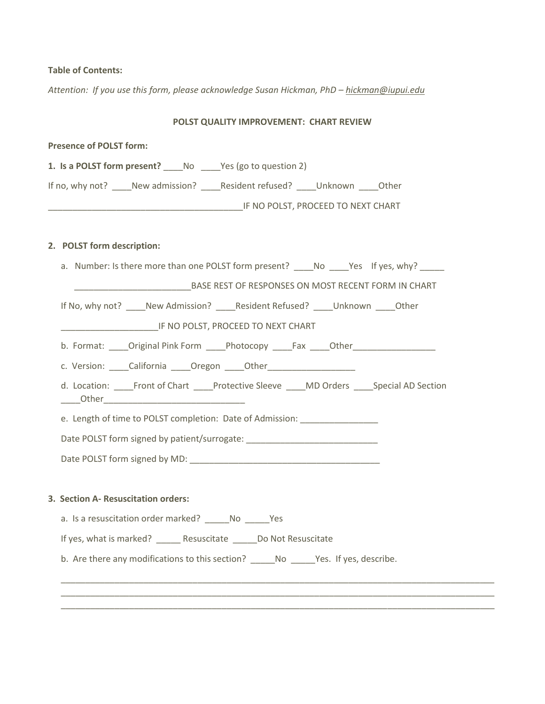# **Table of Contents:**

*Attention: If you use this form, please acknowledge Susan Hickman, PhD - [hickman@iupui.edu](mailto:hickman@iupui.edu)* 

## **POLST QUALITY IMPROVEMENT: CHART REVIEW**

| <b>Presence of POLST form:</b>                                                                |  |  |  |
|-----------------------------------------------------------------------------------------------|--|--|--|
| 1. Is a POLST form present? _____ No ______ Yes (go to question 2)                            |  |  |  |
| If no, why not? New admission? Resident refused? Unknown Other                                |  |  |  |
|                                                                                               |  |  |  |
|                                                                                               |  |  |  |
| 2. POLST form description:                                                                    |  |  |  |
| a. Number: Is there more than one POLST form present? ______No ______Yes If yes, why? _______ |  |  |  |
| BASE REST OF RESPONSES ON MOST RECENT FORM IN CHART                                           |  |  |  |
| If No, why not? _____ New Admission? _____ Resident Refused? _____ Unknown _____ Other        |  |  |  |
| IF NO POLST, PROCEED TO NEXT CHART                                                            |  |  |  |
| b. Format: Original Pink Form Photocopy Fax Other                                             |  |  |  |
| c. Version: _____California _____Oregon _____Other______________________________              |  |  |  |
| d. Location: ____Front of Chart ____Protective Sleeve ____MD Orders ____Special AD Section    |  |  |  |
| e. Length of time to POLST completion: Date of Admission:                                     |  |  |  |
| Date POLST form signed by patient/surrogate: ___________________________________              |  |  |  |
|                                                                                               |  |  |  |
|                                                                                               |  |  |  |
| 3. Section A- Resuscitation orders:                                                           |  |  |  |
|                                                                                               |  |  |  |
| a. Is a resuscitation order marked? No No Nes                                                 |  |  |  |
| If yes, what is marked? _______ Resuscitate ______ Do Not Resuscitate                         |  |  |  |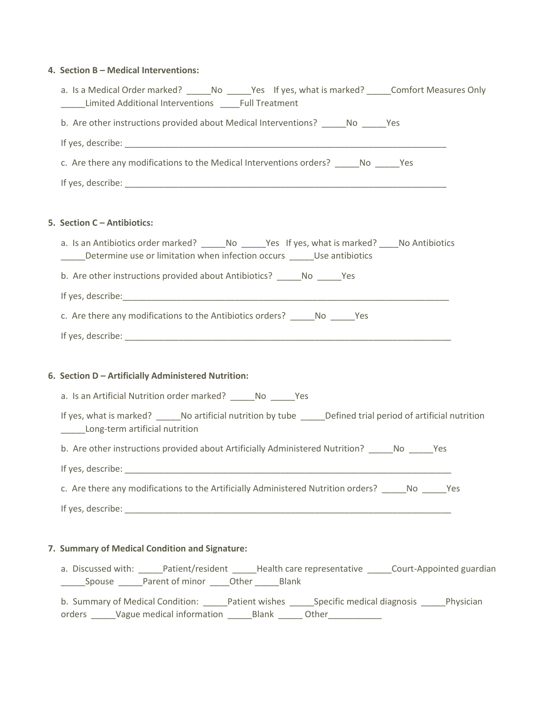### **4. Section B – Medical Interventions:**

| a. Is a Medical Order marked? ______No ______Yes If yes, what is marked? ______Comfort Measures Only<br>Limited Additional Interventions _____Full Treatment                        |
|-------------------------------------------------------------------------------------------------------------------------------------------------------------------------------------|
| b. Are other instructions provided about Medical Interventions? No Nes                                                                                                              |
|                                                                                                                                                                                     |
| c. Are there any modifications to the Medical Interventions orders? No Nes                                                                                                          |
|                                                                                                                                                                                     |
| 5. Section C - Antibiotics:                                                                                                                                                         |
| a. Is an Antibiotics order marked? ______No ______Yes If yes, what is marked? _____No Antibiotics<br>______Determine use or limitation when infection occurs _______Use antibiotics |
| b. Are other instructions provided about Antibiotics? ______ No ______ Yes                                                                                                          |
|                                                                                                                                                                                     |
| c. Are there any modifications to the Antibiotics orders? No Messenger 20                                                                                                           |
|                                                                                                                                                                                     |
|                                                                                                                                                                                     |
| 6. Section D - Artificially Administered Nutrition:                                                                                                                                 |
| a. Is an Artificial Nutrition order marked? ______ No ______ Yes                                                                                                                    |
| If yes, what is marked? _______No artificial nutrition by tube ______Defined trial period of artificial nutrition<br>Long-term artificial nutrition                                 |
| b. Are other instructions provided about Artificially Administered Nutrition? _____ No _____ Yes                                                                                    |
|                                                                                                                                                                                     |
| c. Are there any modifications to the Artificially Administered Nutrition orders? ______ No ______ Yes                                                                              |
|                                                                                                                                                                                     |
|                                                                                                                                                                                     |
| 7. Summary of Medical Condition and Signature:                                                                                                                                      |
| a. Discussed with: _____Patient/resident _____Health care representative _____Court-Appointed guardian                                                                              |
| b. Summary of Medical Condition: _______Patient wishes ________Specific medical diagnosis _______Physician                                                                          |

orders \_\_\_\_\_Vague medical information \_\_\_\_\_\_Blank \_\_\_\_\_\_Other\_\_\_\_\_\_\_\_\_\_\_\_\_